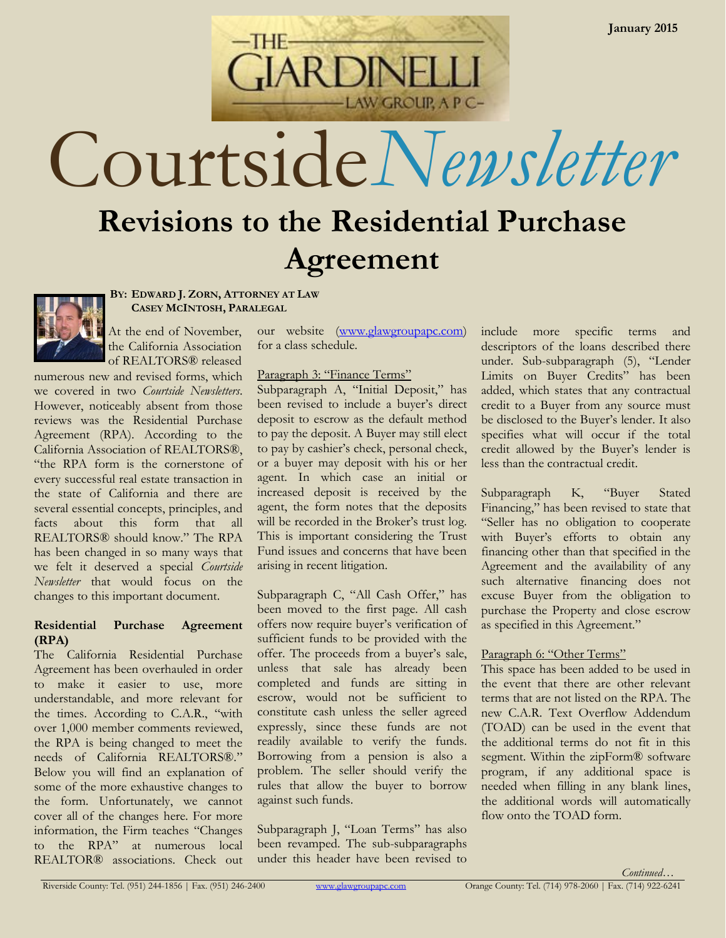

# Courtside*Newsletter*

# **Revisions to the Residential Purchase Agreement**



**BY: EDWARD J. ZORN, ATTORNEY AT LAW CASEY MCINTOSH, PARALEGAL**

At the end of November, the California Association of REALTORS® released

numerous new and revised forms, which we covered in two *Courtside Newsletters*. However, noticeably absent from those reviews was the Residential Purchase Agreement (RPA). According to the California Association of REALTORS®, "the RPA form is the cornerstone of every successful real estate transaction in the state of California and there are several essential concepts, principles, and facts about this form that all REALTORS® should know." The RPA has been changed in so many ways that we felt it deserved a special *Courtside Newsletter* that would focus on the changes to this important document.

#### **Residential Purchase Agreement (RPA)**

The California Residential Purchase Agreement has been overhauled in order to make it easier to use, more understandable, and more relevant for the times. According to C.A.R., "with over 1,000 member comments reviewed, the RPA is being changed to meet the needs of California REALTORS®." Below you will find an explanation of some of the more exhaustive changes to the form. Unfortunately, we cannot cover all of the changes here. For more information, the Firm teaches "Changes to the RPA" at numerous local REALTOR® associations. Check out

our website [\(www.glawgroupapc.com\)](http://www.glawgroupapc.com/) for a class schedule.

# Paragraph 3: "Finance Terms"

Subparagraph A, "Initial Deposit," has been revised to include a buyer's direct deposit to escrow as the default method to pay the deposit. A Buyer may still elect to pay by cashier's check, personal check, or a buyer may deposit with his or her agent. In which case an initial or increased deposit is received by the agent, the form notes that the deposits will be recorded in the Broker's trust log. This is important considering the Trust Fund issues and concerns that have been arising in recent litigation.

Subparagraph C, "All Cash Offer," has been moved to the first page. All cash offers now require buyer's verification of sufficient funds to be provided with the offer. The proceeds from a buyer's sale, unless that sale has already been completed and funds are sitting in escrow, would not be sufficient to constitute cash unless the seller agreed expressly, since these funds are not readily available to verify the funds. Borrowing from a pension is also a problem. The seller should verify the rules that allow the buyer to borrow against such funds.

Subparagraph J, "Loan Terms" has also been revamped. The sub-subparagraphs under this header have been revised to include more specific terms and descriptors of the loans described there under. Sub-subparagraph (5), "Lender Limits on Buyer Credits" has been added, which states that any contractual credit to a Buyer from any source must be disclosed to the Buyer's lender. It also specifies what will occur if the total credit allowed by the Buyer's lender is less than the contractual credit.

Subparagraph K, "Buyer Stated Financing," has been revised to state that "Seller has no obligation to cooperate with Buyer's efforts to obtain any financing other than that specified in the Agreement and the availability of any such alternative financing does not excuse Buyer from the obligation to purchase the Property and close escrow as specified in this Agreement."

# Paragraph 6: "Other Terms"

This space has been added to be used in the event that there are other relevant terms that are not listed on the RPA. The new C.A.R. Text Overflow Addendum (TOAD) can be used in the event that the additional terms do not fit in this segment. Within the zipForm® software program, if any additional space is needed when filling in any blank lines, the additional words will automatically flow onto the TOAD form.